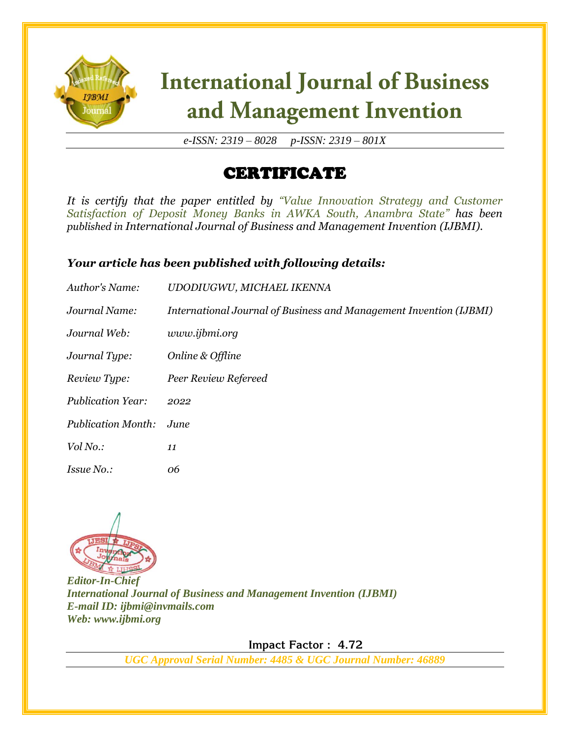

*e-ISSN: 2319 – 8028 p-ISSN: 2319 – 801X*

### CERTIFICATE

*It is certify that the paper entitled by "Value Innovation Strategy and Customer Satisfaction of Deposit Money Banks in AWKA South, Anambra State" has been published in International Journal of Business and Management Invention (IJBMI).*

#### *Your article has been published with following details:*

| Author's Name:            | UDODIUGWU, MICHAEL IKENNA                                          |
|---------------------------|--------------------------------------------------------------------|
| Journal Name:             | International Journal of Business and Management Invention (IJBMI) |
| Journal Web:              | www.ijbmi.org                                                      |
| Journal Type:             | Online & Offline                                                   |
| Review Type:              | Peer Review Refereed                                               |
| <b>Publication Year:</b>  | 2022                                                               |
| <b>Publication Month:</b> | June                                                               |
| Vol No.:                  | 11                                                                 |
| <i>Issue No.:</i>         | 06                                                                 |



*Editor-In-Chief International Journal of Business and Management Invention (IJBMI) E-mail ID: ijbmi@invmails.com Web: www.ijbmi.org*

 **Impact Factor : 4.72**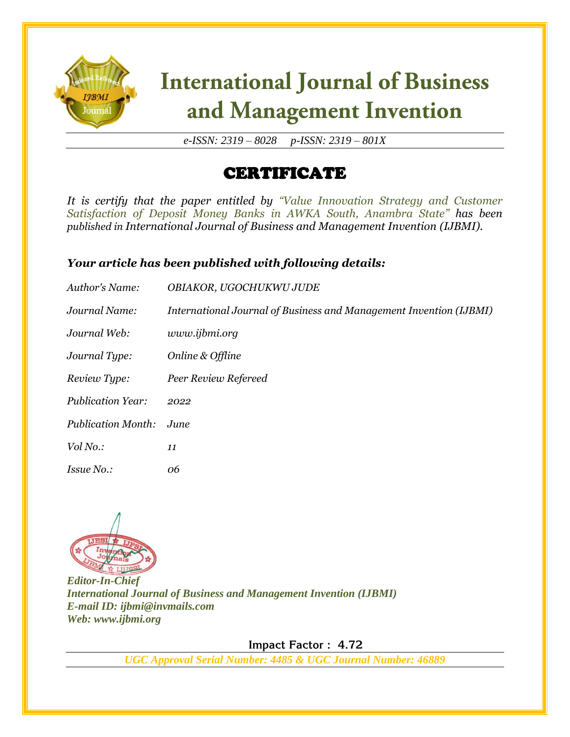

*e-ISSN: 2319 – 8028 p-ISSN: 2319 – 801X*

### CERTIFICATE

*It is certify that the paper entitled by "Value Innovation Strategy and Customer Satisfaction of Deposit Money Banks in AWKA South, Anambra State" has been published in International Journal of Business and Management Invention (IJBMI).*

#### *Your article has been published with following details:*

| Author's Name:            | <b>OBIAKOR, UGOCHUKWU JUDE</b>                                     |
|---------------------------|--------------------------------------------------------------------|
| Journal Name:             | International Journal of Business and Management Invention (IJBMI) |
| Journal Web:              | www.ijbmi.org                                                      |
| Journal Type:             | Online & Offline                                                   |
| Review Type:              | Peer Review Refereed                                               |
| <b>Publication Year:</b>  | 2022                                                               |
| <b>Publication Month:</b> | June                                                               |
| Vol No.:                  | 11                                                                 |
| <i>Issue No.:</i>         | 06                                                                 |



*Editor-In-Chief International Journal of Business and Management Invention (IJBMI) E-mail ID: ijbmi@invmails.com Web: www.ijbmi.org*

 **Impact Factor : 4.72**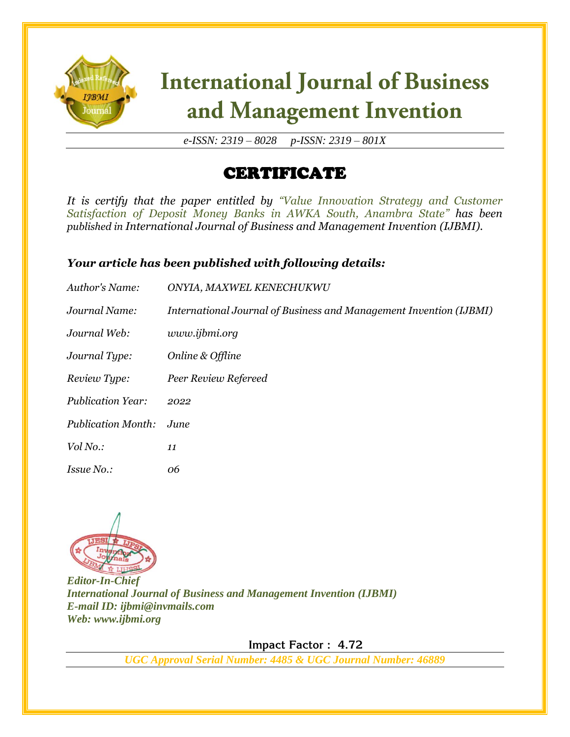

*e-ISSN: 2319 – 8028 p-ISSN: 2319 – 801X*

### CERTIFICATE

*It is certify that the paper entitled by "Value Innovation Strategy and Customer Satisfaction of Deposit Money Banks in AWKA South, Anambra State" has been published in International Journal of Business and Management Invention (IJBMI).*

#### *Your article has been published with following details:*

| Author's Name:            | ONYIA, MAXWEL KENECHUKWU                                           |
|---------------------------|--------------------------------------------------------------------|
| Journal Name:             | International Journal of Business and Management Invention (IJBMI) |
| Journal Web:              | www.ijbmi.org                                                      |
| Journal Type:             | Online & Offline                                                   |
| Review Type:              | Peer Review Refereed                                               |
| <b>Publication Year:</b>  | 2022                                                               |
| <b>Publication Month:</b> | June                                                               |
| Vol No.:                  | 11                                                                 |
| <i>Issue No.:</i>         | 06                                                                 |



*Editor-In-Chief International Journal of Business and Management Invention (IJBMI) E-mail ID: ijbmi@invmails.com Web: www.ijbmi.org*

 **Impact Factor : 4.72**